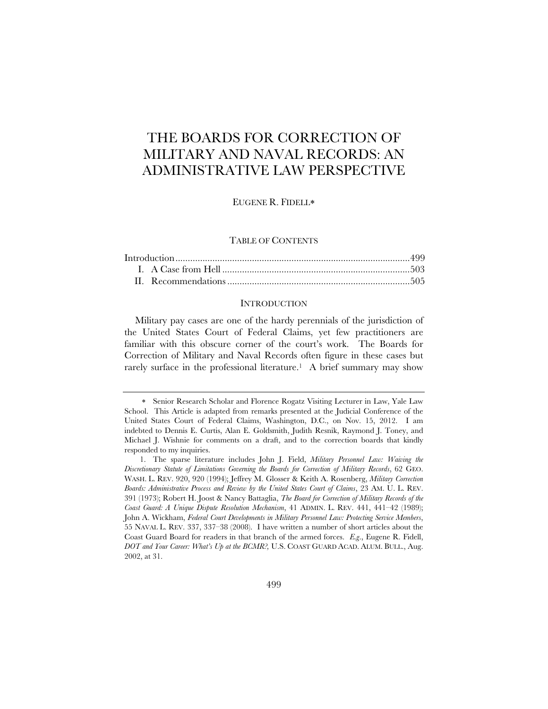# THE BOARDS FOR CORRECTION OF MILITARY AND NAVAL RECORDS: AN ADMINISTRATIVE LAW PERSPECTIVE

EUGENE R. FIDELL

## TABLE OF CONTENTS

## INTRODUCTION

Military pay cases are one of the hardy perennials of the jurisdiction of the United States Court of Federal Claims, yet few practitioners are familiar with this obscure corner of the court's work. The Boards for Correction of Military and Naval Records often figure in these cases but rarely surface in the professional literature.<sup>1</sup> A brief summary may show

Senior Research Scholar and Florence Rogatz Visiting Lecturer in Law, Yale Law School. This Article is adapted from remarks presented at the Judicial Conference of the United States Court of Federal Claims, Washington, D.C., on Nov. 15, 2012. I am indebted to Dennis E. Curtis, Alan E. Goldsmith, Judith Resnik, Raymond J. Toney, and Michael J. Wishnie for comments on a draft, and to the correction boards that kindly responded to my inquiries.

 <sup>1.</sup> The sparse literature includes John J. Field, *Military Personnel Law: Waiving the Discretionary Statute of Limitations Governing the Boards for Correction of Military Records*, 62 GEO. WASH. L. REV. 920, 920 (1994); Jeffrey M. Glosser & Keith A. Rosenberg, *Military Correction Boards: Administrative Process and Review by the United States Court of Claims*, 23 AM. U. L. REV. 391 (1973); Robert H. Joost & Nancy Battaglia, *The Board for Correction of Military Records of the Coast Guard: A Unique Dispute Resolution Mechanism*, 41 ADMIN. L. REV. 441, 441–42 (1989); John A. Wickham, *Federal Court Developments in Military Personnel Law: Protecting Service Members*, 55 NAVAL L. REV. 337, 337–38 (2008). I have written a number of short articles about the Coast Guard Board for readers in that branch of the armed forces. *E.g*., Eugene R. Fidell, *DOT and Your Career: What's Up at the BCMR?,* U.S. COAST GUARD ACAD. ALUM. BULL., Aug. 2002, at 31.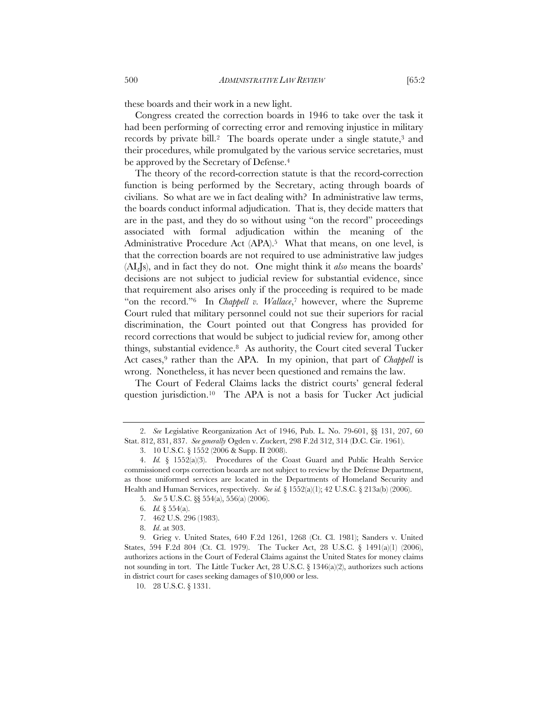these boards and their work in a new light.

Congress created the correction boards in 1946 to take over the task it had been performing of correcting error and removing injustice in military records by private bill.<sup>2</sup> The boards operate under a single statute, $3$  and their procedures, while promulgated by the various service secretaries, must be approved by the Secretary of Defense.<sup>4</sup>

The theory of the record-correction statute is that the record-correction function is being performed by the Secretary, acting through boards of civilians. So what are we in fact dealing with? In administrative law terms, the boards conduct informal adjudication. That is, they decide matters that are in the past, and they do so without using "on the record" proceedings associated with formal adjudication within the meaning of the Administrative Procedure Act (APA).<sup>5</sup> What that means, on one level, is that the correction boards are not required to use administrative law judges (ALJs), and in fact they do not. One might think it *also* means the boards' decisions are not subject to judicial review for substantial evidence, since that requirement also arises only if the proceeding is required to be made "on the record."6 In *Chappell v. Wallace*,7 however, where the Supreme Court ruled that military personnel could not sue their superiors for racial discrimination, the Court pointed out that Congress has provided for record corrections that would be subject to judicial review for, among other things, substantial evidence.8 As authority, the Court cited several Tucker Act cases,<sup>9</sup> rather than the APA. In my opinion, that part of *Chappell* is wrong. Nonetheless, it has never been questioned and remains the law.

The Court of Federal Claims lacks the district courts' general federal question jurisdiction.10 The APA is not a basis for Tucker Act judicial

 <sup>2.</sup> *See* Legislative Reorganization Act of 1946, Pub. L. No. 79-601, §§ 131, 207, 60 Stat. 812, 831, 837. *See generally* Ogden v. Zuckert, 298 F.2d 312, 314 (D.C. Cir. 1961).

 <sup>3. 10</sup> U.S.C. § 1552 (2006 & Supp. II 2008).

 <sup>4.</sup> *Id.* § 1552(a)(3). Procedures of the Coast Guard and Public Health Service commissioned corps correction boards are not subject to review by the Defense Department, as those uniformed services are located in the Departments of Homeland Security and Health and Human Services, respectively. *See id.* § 1552(a)(1); 42 U.S.C. § 213a(b) (2006).

 <sup>5.</sup> *See* 5 U.S.C. §§ 554(a), 556(a) (2006).

 <sup>6.</sup> *Id.* § 554(a).

 <sup>7. 462</sup> U.S. 296 (1983).

 <sup>8.</sup> *Id*. at 303.

 <sup>9.</sup> Grieg v. United States, 640 F.2d 1261, 1268 (Ct. Cl. 1981); Sanders v. United States, 594 F.2d 804 (Ct. Cl. 1979). The Tucker Act, 28 U.S.C. § 1491(a)(1) (2006), authorizes actions in the Court of Federal Claims against the United States for money claims not sounding in tort. The Little Tucker Act, 28 U.S.C. § 1346(a)(2), authorizes such actions in district court for cases seeking damages of \$10,000 or less.

 <sup>10. 28</sup> U.S.C. § 1331.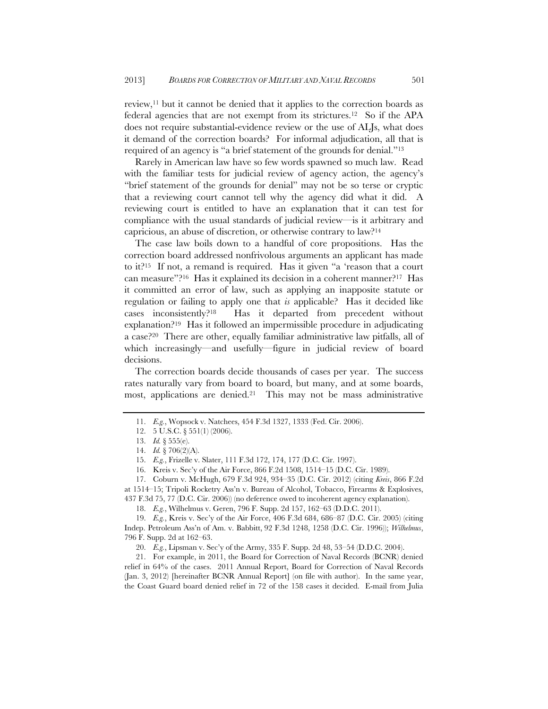review,11 but it cannot be denied that it applies to the correction boards as federal agencies that are not exempt from its strictures.12 So if the APA does not require substantial-evidence review or the use of ALJs, what does it demand of the correction boards? For informal adjudication, all that is required of an agency is "a brief statement of the grounds for denial."13

Rarely in American law have so few words spawned so much law. Read with the familiar tests for judicial review of agency action, the agency's "brief statement of the grounds for denial" may not be so terse or cryptic that a reviewing court cannot tell why the agency did what it did. A reviewing court is entitled to have an explanation that it can test for compliance with the usual standards of judicial review—is it arbitrary and capricious, an abuse of discretion, or otherwise contrary to law?14

The case law boils down to a handful of core propositions. Has the correction board addressed nonfrivolous arguments an applicant has made to it?15 If not, a remand is required. Has it given "a 'reason that a court can measure"?16 Has it explained its decision in a coherent manner?17 Has it committed an error of law, such as applying an inapposite statute or regulation or failing to apply one that *is* applicable? Has it decided like cases inconsistently?18 Has it departed from precedent without explanation?19 Has it followed an impermissible procedure in adjudicating a case?20 There are other, equally familiar administrative law pitfalls, all of which increasingly—and usefully—figure in judicial review of board decisions.

The correction boards decide thousands of cases per year. The success rates naturally vary from board to board, but many, and at some boards, most, applications are denied.<sup>21</sup> This may not be mass administrative

 17. Coburn v. McHugh, 679 F.3d 924, 934–35 (D.C. Cir. 2012) (citing *Kreis*, 866 F.2d at 1514–15; Tripoli Rocketry Ass'n v. Bureau of Alcohol, Tobacco, Firearms & Explosives,

437 F.3d 75, 77 (D.C. Cir. 2006)) (no deference owed to incoherent agency explanation). 18. *E.g.*, Wilhelmus v. Geren, 796 F. Supp. 2d 157, 162–63 (D.D.C. 2011).

 19. *E.g.*, Kreis v. Sec'y of the Air Force, 406 F.3d 684, 686–87 (D.C. Cir. 2005) (citing Indep. Petroleum Ass'n of Am. v. Babbitt, 92 F.3d 1248, 1258 (D.C. Cir. 1996)); *Wilhelmus*,

20. *E.g.*, Lipsman v. Sec'y of the Army, 335 F. Supp. 2d 48, 53–54 (D.D.C. 2004).

 21. For example, in 2011, the Board for Correction of Naval Records (BCNR) denied relief in 64% of the cases. 2011 Annual Report, Board for Correction of Naval Records (Jan. 3, 2012) [hereinafter BCNR Annual Report] (on file with author). In the same year, the Coast Guard board denied relief in 72 of the 158 cases it decided. E-mail from Julia

 <sup>11.</sup> *E.g.*, Wopsock v. Natchees, 454 F.3d 1327, 1333 (Fed. Cir. 2006).

 <sup>12. 5</sup> U.S.C. § 551(1) (2006).

 <sup>13.</sup> *Id.* § 555(e).

 <sup>14.</sup> *Id.* § 706(2)(A).

 <sup>15.</sup> *E.g.*, Frizelle v. Slater, 111 F.3d 172, 174, 177 (D.C. Cir. 1997).

 <sup>16.</sup> Kreis v. Sec'y of the Air Force, 866 F.2d 1508, 1514–15 (D.C. Cir. 1989).

<sup>796</sup> F. Supp. 2d at 162–63.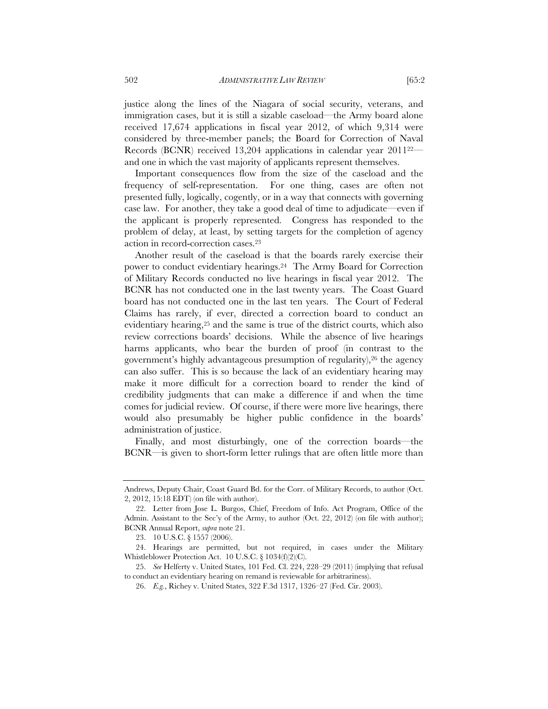justice along the lines of the Niagara of social security, veterans, and immigration cases, but it is still a sizable caseload—the Army board alone received 17,674 applications in fiscal year 2012, of which 9,314 were considered by three-member panels; the Board for Correction of Naval Records (BCNR) received 13,204 applications in calendar year 201122 and one in which the vast majority of applicants represent themselves.

Important consequences flow from the size of the caseload and the frequency of self-representation. For one thing, cases are often not presented fully, logically, cogently, or in a way that connects with governing case law. For another, they take a good deal of time to adjudicate—even if the applicant is properly represented. Congress has responded to the problem of delay, at least, by setting targets for the completion of agency action in record-correction cases.23

Another result of the caseload is that the boards rarely exercise their power to conduct evidentiary hearings.24 The Army Board for Correction of Military Records conducted no live hearings in fiscal year 2012. The BCNR has not conducted one in the last twenty years. The Coast Guard board has not conducted one in the last ten years. The Court of Federal Claims has rarely, if ever, directed a correction board to conduct an evidentiary hearing,<sup>25</sup> and the same is true of the district courts, which also review corrections boards' decisions. While the absence of live hearings harms applicants, who bear the burden of proof (in contrast to the government's highly advantageous presumption of regularity),<sup>26</sup> the agency can also suffer. This is so because the lack of an evidentiary hearing may make it more difficult for a correction board to render the kind of credibility judgments that can make a difference if and when the time comes for judicial review. Of course, if there were more live hearings, there would also presumably be higher public confidence in the boards' administration of justice.

Finally, and most disturbingly, one of the correction boards—the BCNR—is given to short-form letter rulings that are often little more than

Andrews, Deputy Chair, Coast Guard Bd. for the Corr. of Military Records, to author (Oct. 2, 2012, 15:18 EDT) (on file with author).

 <sup>22.</sup> Letter from Jose L. Burgos, Chief, Freedom of Info. Act Program, Office of the Admin. Assistant to the Sec'y of the Army, to author (Oct. 22, 2012) (on file with author); BCNR Annual Report, *supra* note 21.

 <sup>23. 10</sup> U.S.C. § 1557 (2006).

 <sup>24.</sup> Hearings are permitted, but not required, in cases under the Military Whistleblower Protection Act. 10 U.S.C. § 1034(f)(2)(C).

 <sup>25.</sup> *See* Helferty v. United States, 101 Fed. Cl. 224, 228–29 (2011) (implying that refusal to conduct an evidentiary hearing on remand is reviewable for arbitrariness).

 <sup>26.</sup> *E.g.*, Richey v. United States, 322 F.3d 1317, 1326–27 (Fed. Cir. 2003).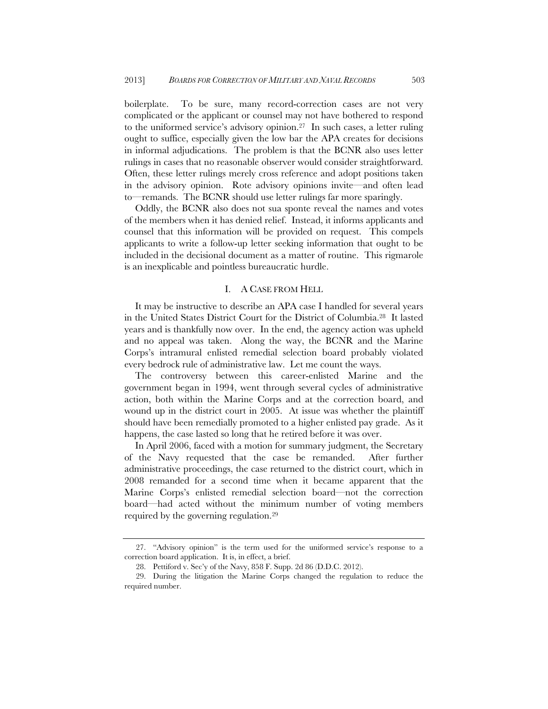boilerplate. To be sure, many record-correction cases are not very complicated or the applicant or counsel may not have bothered to respond to the uniformed service's advisory opinion.27 In such cases, a letter ruling ought to suffice, especially given the low bar the APA creates for decisions in informal adjudications. The problem is that the BCNR also uses letter rulings in cases that no reasonable observer would consider straightforward. Often, these letter rulings merely cross reference and adopt positions taken in the advisory opinion. Rote advisory opinions invite—and often lead to—remands. The BCNR should use letter rulings far more sparingly.

Oddly, the BCNR also does not sua sponte reveal the names and votes of the members when it has denied relief. Instead, it informs applicants and counsel that this information will be provided on request. This compels applicants to write a follow-up letter seeking information that ought to be included in the decisional document as a matter of routine. This rigmarole is an inexplicable and pointless bureaucratic hurdle.

## I. A CASE FROM HELL

It may be instructive to describe an APA case I handled for several years in the United States District Court for the District of Columbia.28 It lasted years and is thankfully now over. In the end, the agency action was upheld and no appeal was taken. Along the way, the BCNR and the Marine Corps's intramural enlisted remedial selection board probably violated every bedrock rule of administrative law. Let me count the ways.

The controversy between this career-enlisted Marine and the government began in 1994, went through several cycles of administrative action, both within the Marine Corps and at the correction board, and wound up in the district court in 2005. At issue was whether the plaintiff should have been remedially promoted to a higher enlisted pay grade. As it happens, the case lasted so long that he retired before it was over.

In April 2006, faced with a motion for summary judgment, the Secretary of the Navy requested that the case be remanded. After further administrative proceedings, the case returned to the district court, which in 2008 remanded for a second time when it became apparent that the Marine Corps's enlisted remedial selection board—not the correction board—had acted without the minimum number of voting members required by the governing regulation.29

 <sup>27. &</sup>quot;Advisory opinion" is the term used for the uniformed service's response to a correction board application. It is, in effect, a brief.

 <sup>28.</sup> Pettiford v. Sec'y of the Navy, 858 F. Supp. 2d 86 (D.D.C. 2012).

 <sup>29.</sup> During the litigation the Marine Corps changed the regulation to reduce the required number.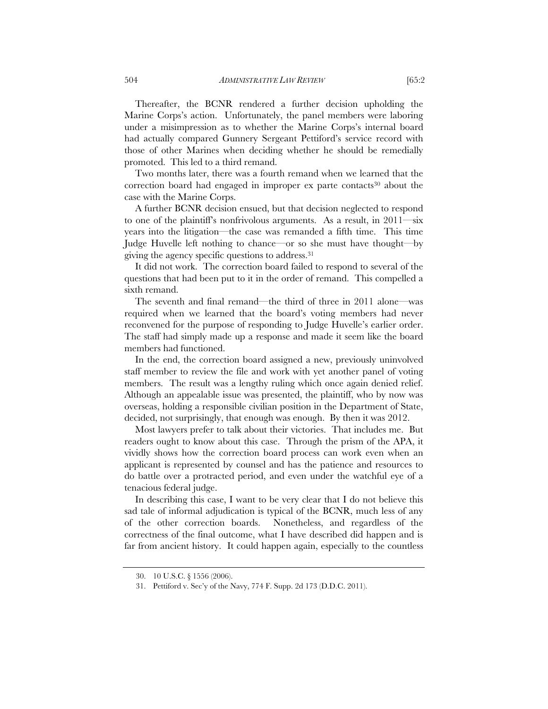Thereafter, the BCNR rendered a further decision upholding the Marine Corps's action. Unfortunately, the panel members were laboring under a misimpression as to whether the Marine Corps's internal board had actually compared Gunnery Sergeant Pettiford's service record with those of other Marines when deciding whether he should be remedially promoted. This led to a third remand.

Two months later, there was a fourth remand when we learned that the correction board had engaged in improper ex parte contacts<sup>30</sup> about the case with the Marine Corps.

A further BCNR decision ensued, but that decision neglected to respond to one of the plaintiff's nonfrivolous arguments. As a result, in  $2011$ —six years into the litigation—the case was remanded a fifth time. This time Judge Huvelle left nothing to chance—or so she must have thought—by giving the agency specific questions to address.31

It did not work. The correction board failed to respond to several of the questions that had been put to it in the order of remand. This compelled a sixth remand.

The seventh and final remand—the third of three in 2011 alone—was required when we learned that the board's voting members had never reconvened for the purpose of responding to Judge Huvelle's earlier order. The staff had simply made up a response and made it seem like the board members had functioned.

In the end, the correction board assigned a new, previously uninvolved staff member to review the file and work with yet another panel of voting members. The result was a lengthy ruling which once again denied relief. Although an appealable issue was presented, the plaintiff, who by now was overseas, holding a responsible civilian position in the Department of State, decided, not surprisingly, that enough was enough. By then it was 2012.

Most lawyers prefer to talk about their victories. That includes me. But readers ought to know about this case. Through the prism of the APA, it vividly shows how the correction board process can work even when an applicant is represented by counsel and has the patience and resources to do battle over a protracted period, and even under the watchful eye of a tenacious federal judge.

In describing this case, I want to be very clear that I do not believe this sad tale of informal adjudication is typical of the BCNR, much less of any of the other correction boards. Nonetheless, and regardless of the correctness of the final outcome, what I have described did happen and is far from ancient history. It could happen again, especially to the countless

 <sup>30. 10</sup> U.S.C. § 1556 (2006).

 <sup>31.</sup> Pettiford v. Sec'y of the Navy, 774 F. Supp. 2d 173 (D.D.C. 2011).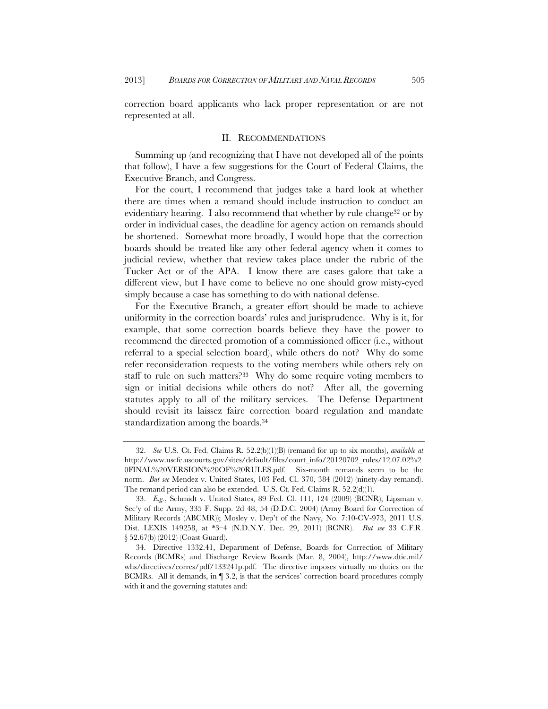correction board applicants who lack proper representation or are not represented at all.

#### II. RECOMMENDATIONS

Summing up (and recognizing that I have not developed all of the points that follow), I have a few suggestions for the Court of Federal Claims, the Executive Branch, and Congress.

For the court, I recommend that judges take a hard look at whether there are times when a remand should include instruction to conduct an evidentiary hearing. I also recommend that whether by rule change<sup>32</sup> or by order in individual cases, the deadline for agency action on remands should be shortened. Somewhat more broadly, I would hope that the correction boards should be treated like any other federal agency when it comes to judicial review, whether that review takes place under the rubric of the Tucker Act or of the APA. I know there are cases galore that take a different view, but I have come to believe no one should grow misty-eyed simply because a case has something to do with national defense.

For the Executive Branch, a greater effort should be made to achieve uniformity in the correction boards' rules and jurisprudence. Why is it, for example, that some correction boards believe they have the power to recommend the directed promotion of a commissioned officer (i.e., without referral to a special selection board), while others do not? Why do some refer reconsideration requests to the voting members while others rely on staff to rule on such matters? $33$  Why do some require voting members to sign or initial decisions while others do not? After all, the governing statutes apply to all of the military services. The Defense Department should revisit its laissez faire correction board regulation and mandate standardization among the boards.34

 <sup>32.</sup> *See* U.S. Ct. Fed. Claims R. 52.2(b)(1)(B) (remand for up to six months), *available at* http://www.uscfc.uscourts.gov/sites/default/files/court\_info/20120702\_rules/12.07.02%2 0FINAL%20VERSION%20OF%20RULES.pdf. Six-month remands seem to be the norm. *But see* Mendez v. United States, 103 Fed. Cl. 370, 384 (2012) (ninety-day remand). The remand period can also be extended. U.S. Ct. Fed. Claims R. 52.2(d)(1).

 <sup>33.</sup> *E.g.*, Schmidt v. United States, 89 Fed. Cl. 111, 124 (2009) (BCNR); Lipsman v. Sec'y of the Army, 335 F. Supp. 2d 48, 54 (D.D.C. 2004) (Army Board for Correction of Military Records (ABCMR)); Mosley v. Dep't of the Navy, No. 7:10-CV-973, 2011 U.S. Dist. LEXIS 149258, at \*3–4 (N.D.N.Y. Dec. 29, 2011) (BCNR). *But see* 33 C.F.R. § 52.67(b) (2012) (Coast Guard).

 <sup>34.</sup> Directive 1332.41, Department of Defense, Boards for Correction of Military Records (BCMRs) and Discharge Review Boards (Mar. 8, 2004), http://www.dtic.mil/ whs/directives/corres/pdf/133241p.pdf. The directive imposes virtually no duties on the BCMRs. All it demands, in ¶ 3.2, is that the services' correction board procedures comply with it and the governing statutes and: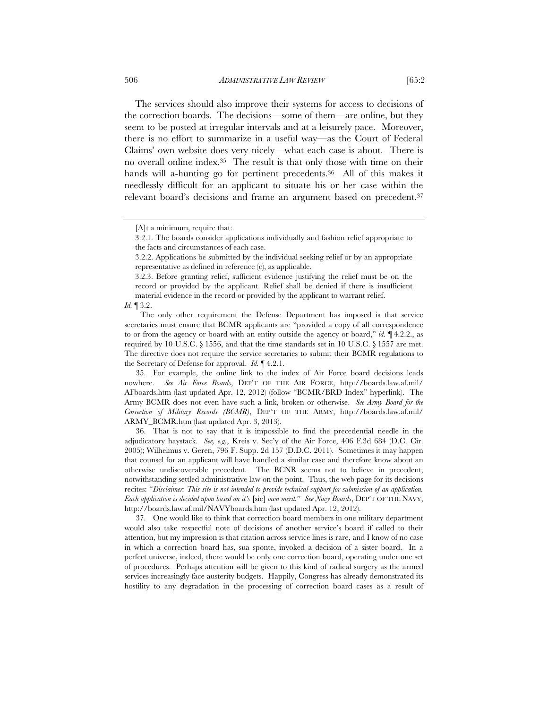The services should also improve their systems for access to decisions of the correction boards. The decisions—some of them—are online, but they seem to be posted at irregular intervals and at a leisurely pace. Moreover, there is no effort to summarize in a useful way—as the Court of Federal Claims' own website does very nicely—what each case is about. There is no overall online index.35 The result is that only those with time on their hands will a-hunting go for pertinent precedents.<sup>36</sup> All of this makes it needlessly difficult for an applicant to situate his or her case within the relevant board's decisions and frame an argument based on precedent.<sup>37</sup>

The only other requirement the Defense Department has imposed is that service secretaries must ensure that BCMR applicants are "provided a copy of all correspondence to or from the agency or board with an entity outside the agency or board," *id.* ¶ 4.2.2., as required by 10 U.S.C.  $\S$  1556, and that the time standards set in 10 U.S.C.  $\S$  1557 are met. The directive does not require the service secretaries to submit their BCMR regulations to the Secretary of Defense for approval. *Id.* ¶ 4.2.1.

 35. For example, the online link to the index of Air Force board decisions leads nowhere. *See Air Force Boards*, DEP'T OF THE AIR FORCE, http://boards.law.af.mil/ AFboards.htm (last updated Apr. 12, 2012) (follow "BCMR/BRD Index" hyperlink). The Army BCMR does not even have such a link, broken or otherwise. *See Army Board for the Correction of Military Records (BCMR)*, DEP'T OF THE ARMY, http://boards.law.af.mil/ ARMY\_BCMR.htm (last updated Apr. 3, 2013).

 36. That is not to say that it is impossible to find the precedential needle in the adjudicatory haystack. *See, e.g.*, Kreis v. Sec'y of the Air Force, 406 F.3d 684 (D.C. Cir. 2005); Wilhelmus v. Geren, 796 F. Supp. 2d 157 (D.D.C. 2011). Sometimes it may happen that counsel for an applicant will have handled a similar case and therefore know about an otherwise undiscoverable precedent. The BCNR seems not to believe in precedent, notwithstanding settled administrative law on the point. Thus, the web page for its decisions recites: "*Disclaimer: This site is not intended to provide technical support for submission of an application. Each application is decided upon based on it's* [sic] *own merit.*" *See Navy Boards*, DEP'T OF THE NAVY, http://boards.law.af.mil/NAVYboards.htm (last updated Apr. 12, 2012).

 37. One would like to think that correction board members in one military department would also take respectful note of decisions of another service's board if called to their attention, but my impression is that citation across service lines is rare, and I know of no case in which a correction board has, sua sponte, invoked a decision of a sister board. In a perfect universe, indeed, there would be only one correction board, operating under one set of procedures. Perhaps attention will be given to this kind of radical surgery as the armed services increasingly face austerity budgets. Happily, Congress has already demonstrated its hostility to any degradation in the processing of correction board cases as a result of

<sup>[</sup>A]t a minimum, require that:

<sup>3.2.1.</sup> The boards consider applications individually and fashion relief appropriate to the facts and circumstances of each case.

<sup>3.2.2.</sup> Applications be submitted by the individual seeking relief or by an appropriate representative as defined in reference (c), as applicable.

<sup>3.2.3.</sup> Before granting relief, sufficient evidence justifying the relief must be on the record or provided by the applicant. Relief shall be denied if there is insufficient material evidence in the record or provided by the applicant to warrant relief.

*Id.* ¶ 3.2.